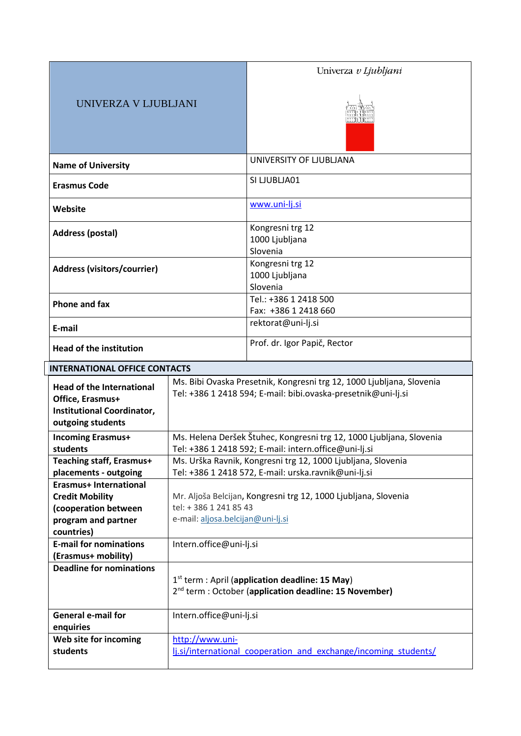|                                                  |                                      | Univerza v Ljubljani                                                                                                  |  |  |
|--------------------------------------------------|--------------------------------------|-----------------------------------------------------------------------------------------------------------------------|--|--|
| UNIVERZA V LJUBLJANI                             |                                      |                                                                                                                       |  |  |
|                                                  |                                      |                                                                                                                       |  |  |
| <b>Name of University</b>                        |                                      | UNIVERSITY OF LJUBLJANA                                                                                               |  |  |
|                                                  |                                      | SI LJUBLJA01                                                                                                          |  |  |
| <b>Erasmus Code</b>                              |                                      |                                                                                                                       |  |  |
| <b>Website</b>                                   |                                      | www.uni-lj.si                                                                                                         |  |  |
| <b>Address (postal)</b>                          |                                      | Kongresni trg 12<br>1000 Ljubljana<br>Slovenia                                                                        |  |  |
| <b>Address (visitors/courrier)</b>               |                                      | Kongresni trg 12                                                                                                      |  |  |
|                                                  |                                      | 1000 Ljubljana                                                                                                        |  |  |
|                                                  |                                      | Slovenia<br>Tel.: +386 1 2418 500                                                                                     |  |  |
| <b>Phone and fax</b>                             |                                      | Fax: +386 1 2418 660                                                                                                  |  |  |
| E-mail                                           |                                      | rektorat@uni-lj.si                                                                                                    |  |  |
| <b>Head of the institution</b>                   |                                      | Prof. dr. Igor Papič, Rector                                                                                          |  |  |
|                                                  | <b>INTERNATIONAL OFFICE CONTACTS</b> |                                                                                                                       |  |  |
| <b>Head of the International</b>                 |                                      | Ms. Bibi Ovaska Presetnik, Kongresni trg 12, 1000 Ljubljana, Slovenia                                                 |  |  |
| Office, Erasmus+                                 |                                      | Tel: +386 1 2418 594; E-mail: bibi.ovaska-presetnik@uni-lj.si                                                         |  |  |
| Institutional Coordinator,<br>outgoing students  |                                      |                                                                                                                       |  |  |
| <b>Incoming Erasmus+</b>                         |                                      | Ms. Helena Deršek Štuhec, Kongresni trg 12, 1000 Ljubljana, Slovenia                                                  |  |  |
| students                                         |                                      | Tel: +386 1 2418 592; E-mail: intern.office@uni-lj.si                                                                 |  |  |
| <b>Teaching staff, Erasmus+</b>                  |                                      | Ms. Urška Ravnik, Kongresni trg 12, 1000 Ljubljana, Slovenia                                                          |  |  |
| placements - outgoing                            |                                      | Tel: +386 1 2418 572, E-mail: urska.ravnik@uni-lj.si                                                                  |  |  |
| Erasmus+ International<br><b>Credit Mobility</b> |                                      | Mr. Aljoša Belcijan, Kongresni trg 12, 1000 Ljubljana, Slovenia                                                       |  |  |
| (cooperation between                             | tel: +386 1 241 85 43                |                                                                                                                       |  |  |
| program and partner                              | e-mail: aljosa.belcijan@uni-lj.si    |                                                                                                                       |  |  |
| countries)<br><b>E-mail for nominations</b>      | Intern.office@uni-lj.si              |                                                                                                                       |  |  |
| (Erasmus+ mobility)                              |                                      |                                                                                                                       |  |  |
| <b>Deadline for nominations</b>                  |                                      |                                                                                                                       |  |  |
|                                                  |                                      | 1st term : April (application deadline: 15 May)<br>2 <sup>nd</sup> term : October (application deadline: 15 November) |  |  |
| <b>General e-mail for</b><br>enquiries           | Intern.office@uni-lj.si              |                                                                                                                       |  |  |
| Web site for incoming                            | http://www.uni-                      |                                                                                                                       |  |  |
| students                                         |                                      | lj.si/international cooperation and exchange/incoming students/                                                       |  |  |